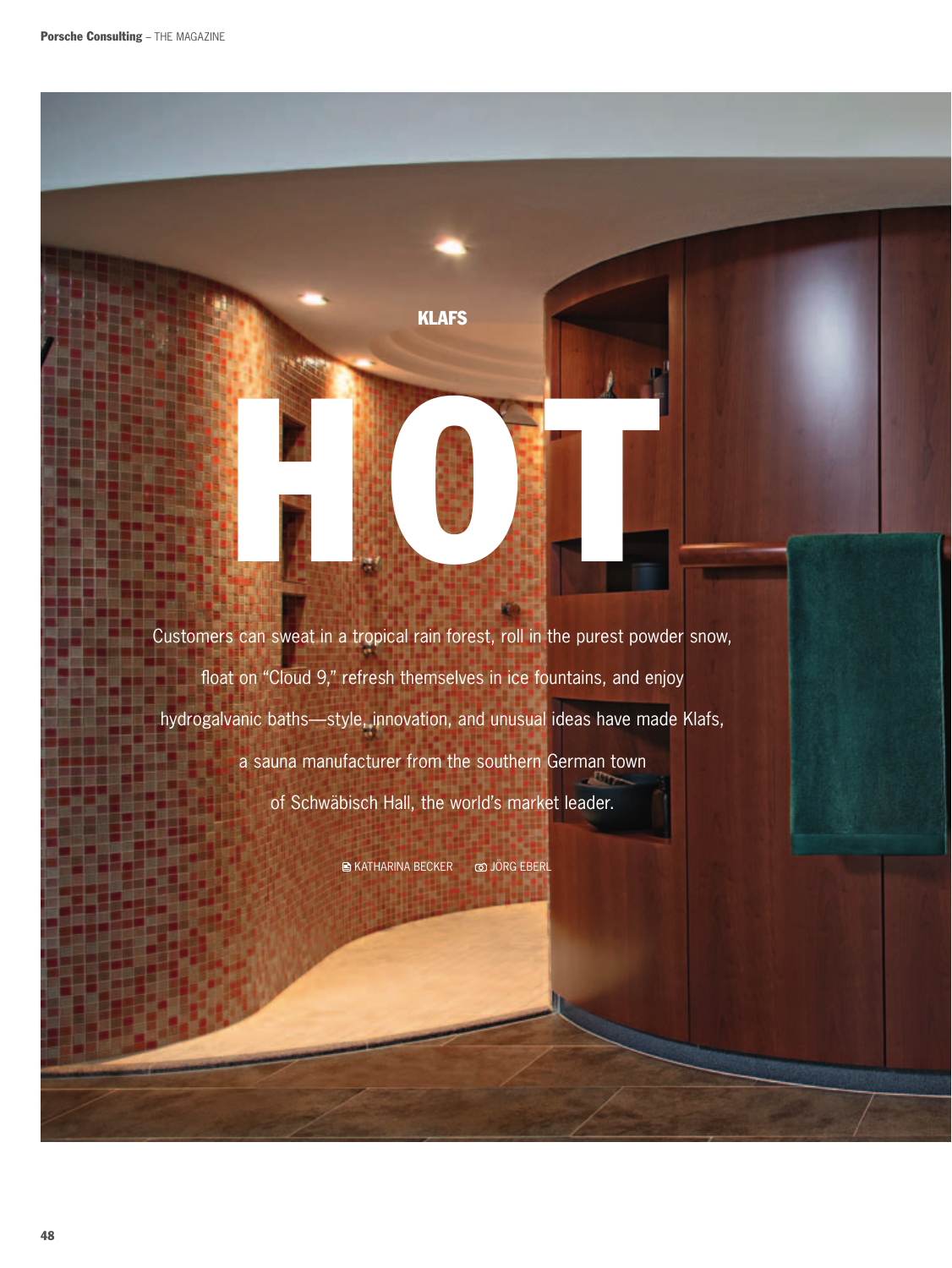Customers can sweat in a tropical rain forest, roll in the purest powder snow, float on "Cloud 9," refresh themselves in ice fountains, and enjoy hydrogalvanic baths—style, innovation, and unusual ideas have made Klafs, a sauna manufacturer from the southern German town of Schwäbisch Hall, the world's market leader.

**KLAFS** 

hot

**B KATHARINA BECKER © JÖRG EBERL**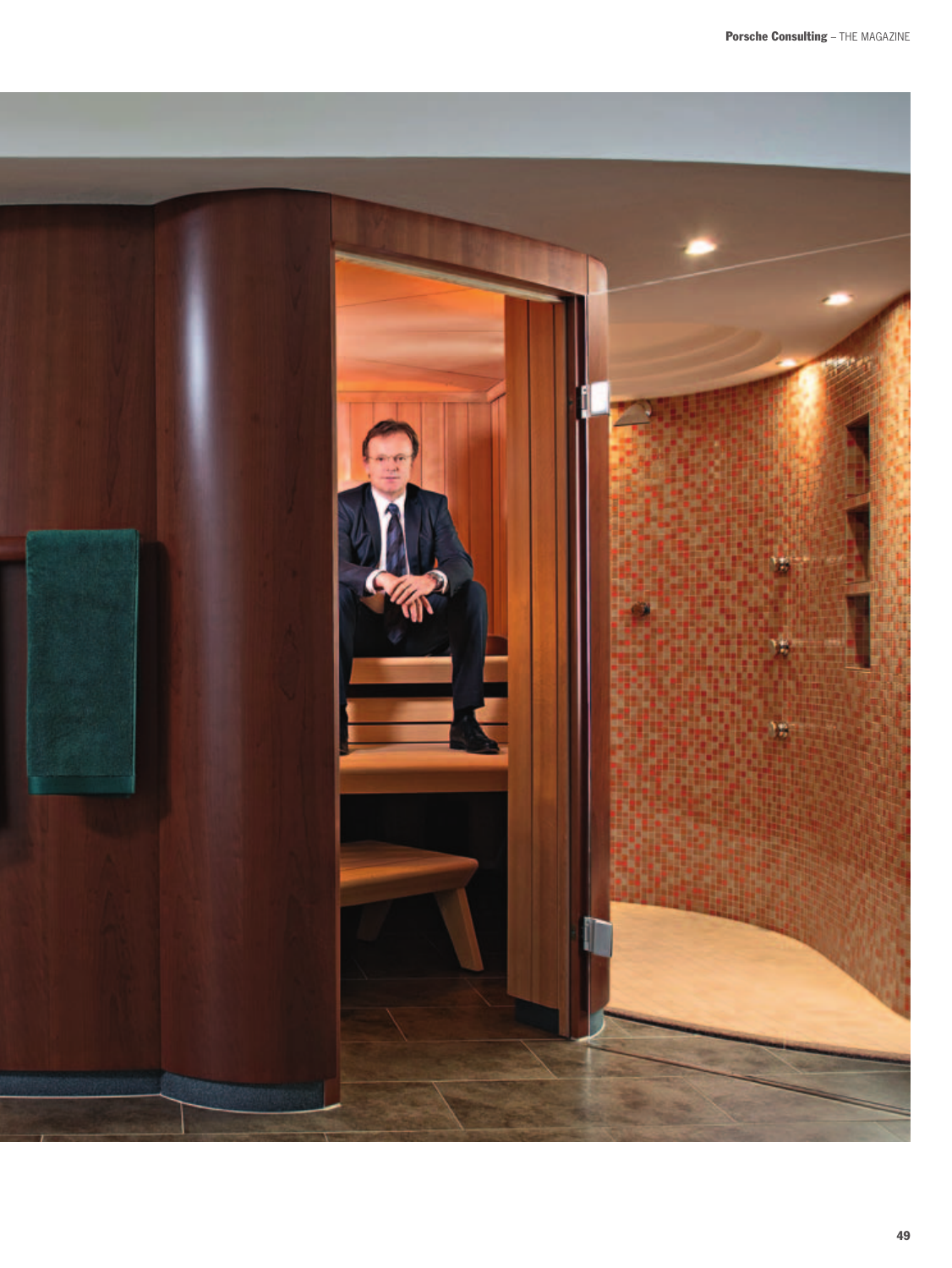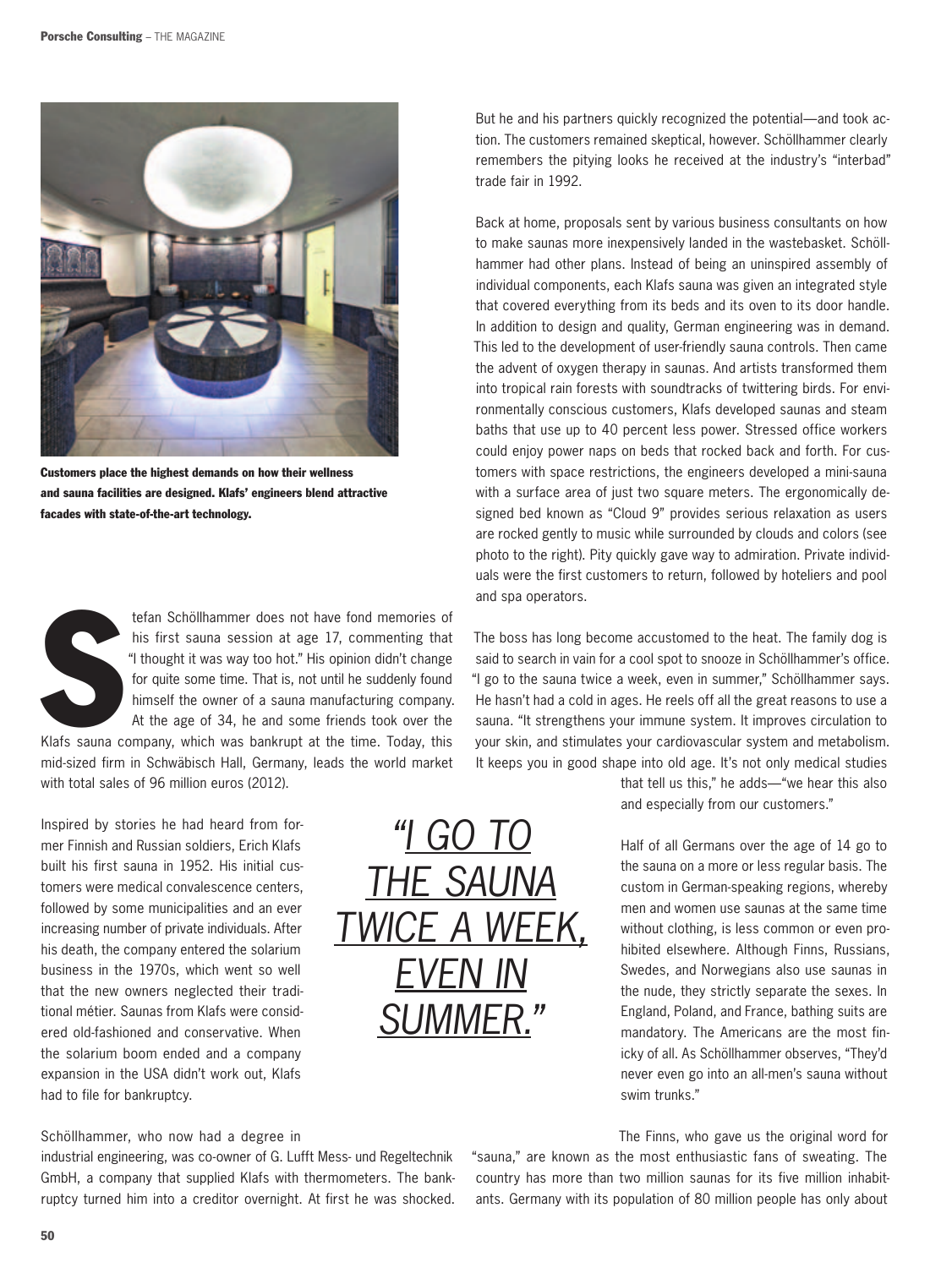

Customers place the highest demands on how their wellness and sauna facilities are designed. Klafs' engineers blend attractive facades with state-of-the-art technology.



tefan Schöllhammer does not have fond memories of his first sauna session at age 17, commenting that "I thought it was way too hot." His opinion didn't change for quite some time. That is, not until he suddenly found himself the owner of a sauna manufacturing company. At the age of 34, he and some friends took over the

Klafs sauna company, which was bankrupt at the time. Today, this mid-sized firm in Schwäbisch Hall, Germany, leads the world market with total sales of 96 million euros (2012).

Inspired by stories he had heard from former Finnish and Russian soldiers, Erich Klafs built his first sauna in 1952. His initial customers were medical convalescence centers, followed by some municipalities and an ever increasing number of private individuals. After his death, the company entered the solarium business in the 1970s, which went so well that the new owners neglected their traditional métier. Saunas from Klafs were considered old-fashioned and conservative. When the solarium boom ended and a company expansion in the USA didn't work out, Klafs had to file for bankruptcy.

Schöllhammer, who now had a degree in

industrial engineering, was co-owner of G. Lufft Mess- und Regeltechnik GmbH, a company that supplied Klafs with thermometers. The bankruptcy turned him into a creditor overnight. At first he was shocked.

*"I go to the sauna twice a week, even in summer."*

But he and his partners quickly recognized the potential—and took action. The customers remained skeptical, however. Schöllhammer clearly remembers the pitying looks he received at the industry's "interbad" trade fair in 1992.

Back at home, proposals sent by various business consultants on how to make saunas more inexpensively landed in the wastebasket. Schöllhammer had other plans. Instead of being an uninspired assembly of individual components, each Klafs sauna was given an integrated style that covered everything from its beds and its oven to its door handle. In addition to design and quality, German engineering was in demand. This led to the development of user-friendly sauna controls. Then came the advent of oxygen therapy in saunas. And artists transformed them into tropical rain forests with soundtracks of twittering birds. For environmentally conscious customers, Klafs developed saunas and steam baths that use up to 40 percent less power. Stressed office workers could enjoy power naps on beds that rocked back and forth. For customers with space restrictions, the engineers developed a mini-sauna with a surface area of just two square meters. The ergonomically designed bed known as "Cloud 9" provides serious relaxation as users are rocked gently to music while surrounded by clouds and colors (see photo to the right). Pity quickly gave way to admiration. Private individuals were the first customers to return, followed by hoteliers and pool and spa operators.

The boss has long become accustomed to the heat. The family dog is said to search in vain for a cool spot to snooze in Schöllhammer's office. "I go to the sauna twice a week, even in summer," Schöllhammer says. He hasn't had a cold in ages. He reels off all the great reasons to use a sauna. "It strengthens your immune system. It improves circulation to your skin, and stimulates your cardiovascular system and metabolism. It keeps you in good shape into old age. It's not only medical studies

> that tell us this," he adds—"we hear this also and especially from our customers."

Half of all Germans over the age of 14 go to the sauna on a more or less regular basis. The custom in German-speaking regions, whereby men and women use saunas at the same time without clothing, is less common or even prohibited elsewhere. Although Finns, Russians, Swedes, and Norwegians also use saunas in the nude, they strictly separate the sexes. In England, Poland, and France, bathing suits are mandatory. The Americans are the most finicky of all. As Schöllhammer observes, "They'd never even go into an all-men's sauna without swim trunks."

The Finns, who gave us the original word for "sauna," are known as the most enthusiastic fans of sweating. The country has more than two million saunas for its five million inhabitants. Germany with its population of 80 million people has only about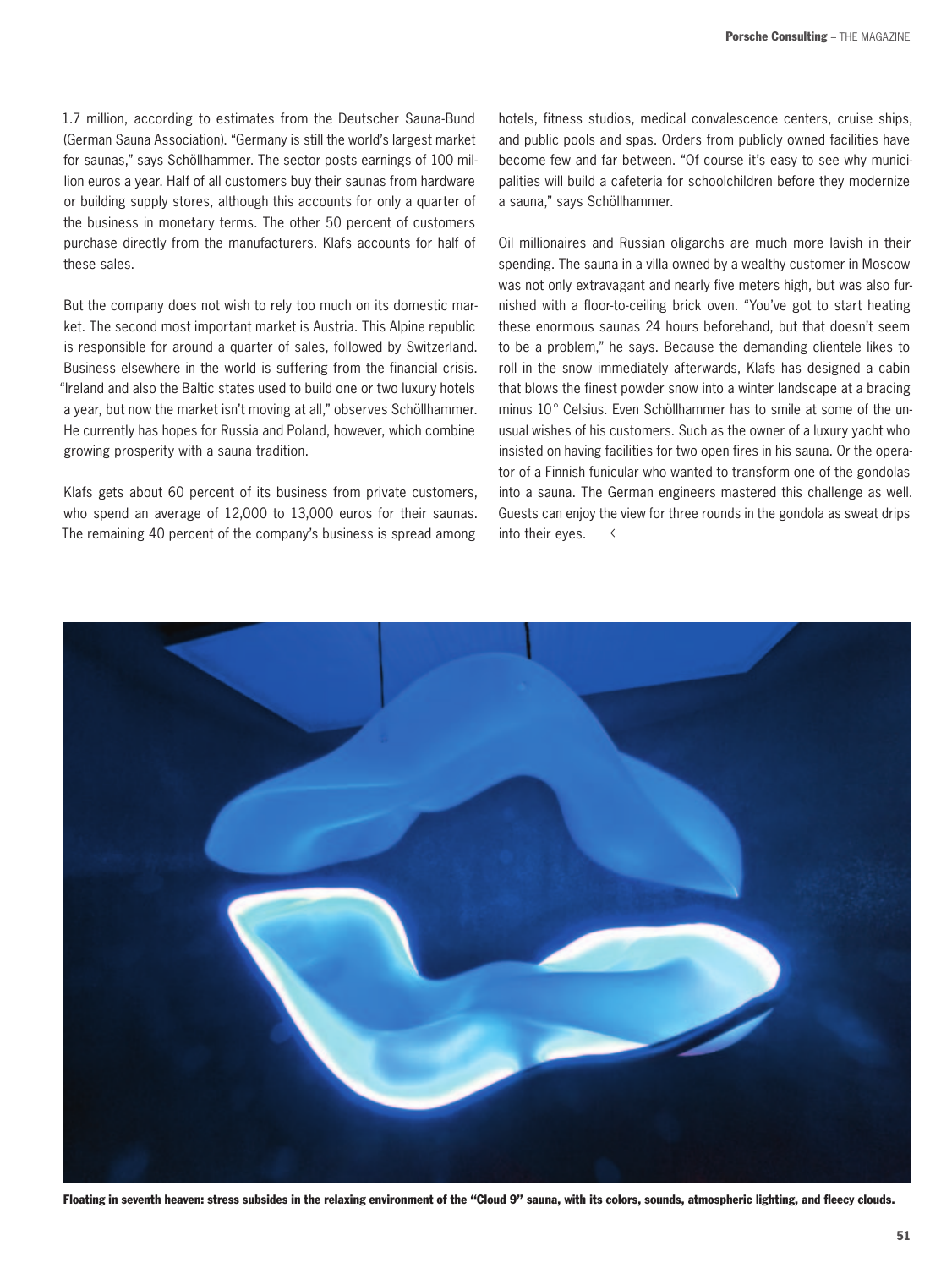1.7 million, according to estimates from the Deutscher Sauna-Bund (German Sauna Association). "Germany is still the world's largest market for saunas," says Schöllhammer. The sector posts earnings of 100 million euros a year. Half of all customers buy their saunas from hardware or building supply stores, although this accounts for only a quarter of the business in monetary terms. The other 50 percent of customers purchase directly from the manufacturers. Klafs accounts for half of these sales.

But the company does not wish to rely too much on its domestic market. The second most important market is Austria. This Alpine republic is responsible for around a quarter of sales, followed by Switzerland. Business elsewhere in the world is suffering from the financial crisis. "Ireland and also the Baltic states used to build one or two luxury hotels a year, but now the market isn't moving at all," observes Schöllhammer. He currently has hopes for Russia and Poland, however, which combine growing prosperity with a sauna tradition.

Klafs gets about 60 percent of its business from private customers, who spend an average of 12,000 to 13,000 euros for their saunas. The remaining 40 percent of the company's business is spread among

hotels, fitness studios, medical convalescence centers, cruise ships, and public pools and spas. Orders from publicly owned facilities have become few and far between. "Of course it's easy to see why municipalities will build a cafeteria for schoolchildren before they modernize a sauna," says Schöllhammer.

Oil millionaires and Russian oligarchs are much more lavish in their spending. The sauna in a villa owned by a wealthy customer in Moscow was not only extravagant and nearly five meters high, but was also furnished with a floor-to-ceiling brick oven. "You've got to start heating these enormous saunas 24 hours beforehand, but that doesn't seem to be a problem," he says. Because the demanding clientele likes to roll in the snow immediately afterwards, Klafs has designed a cabin that blows the finest powder snow into a winter landscape at a bracing minus 10° Celsius. Even Schöllhammer has to smile at some of the unusual wishes of his customers. Such as the owner of a luxury yacht who insisted on having facilities for two open fires in his sauna. Or the operator of a Finnish funicular who wanted to transform one of the gondolas into a sauna. The German engineers mastered this challenge as well. Guests can enjoy the view for three rounds in the gondola as sweat drips into their eves.  $\leftarrow$ 



Floating in seventh heaven: stress subsides in the relaxing environment of the "Cloud 9" sauna, with its colors, sounds, atmospheric lighting, and fleecy clouds.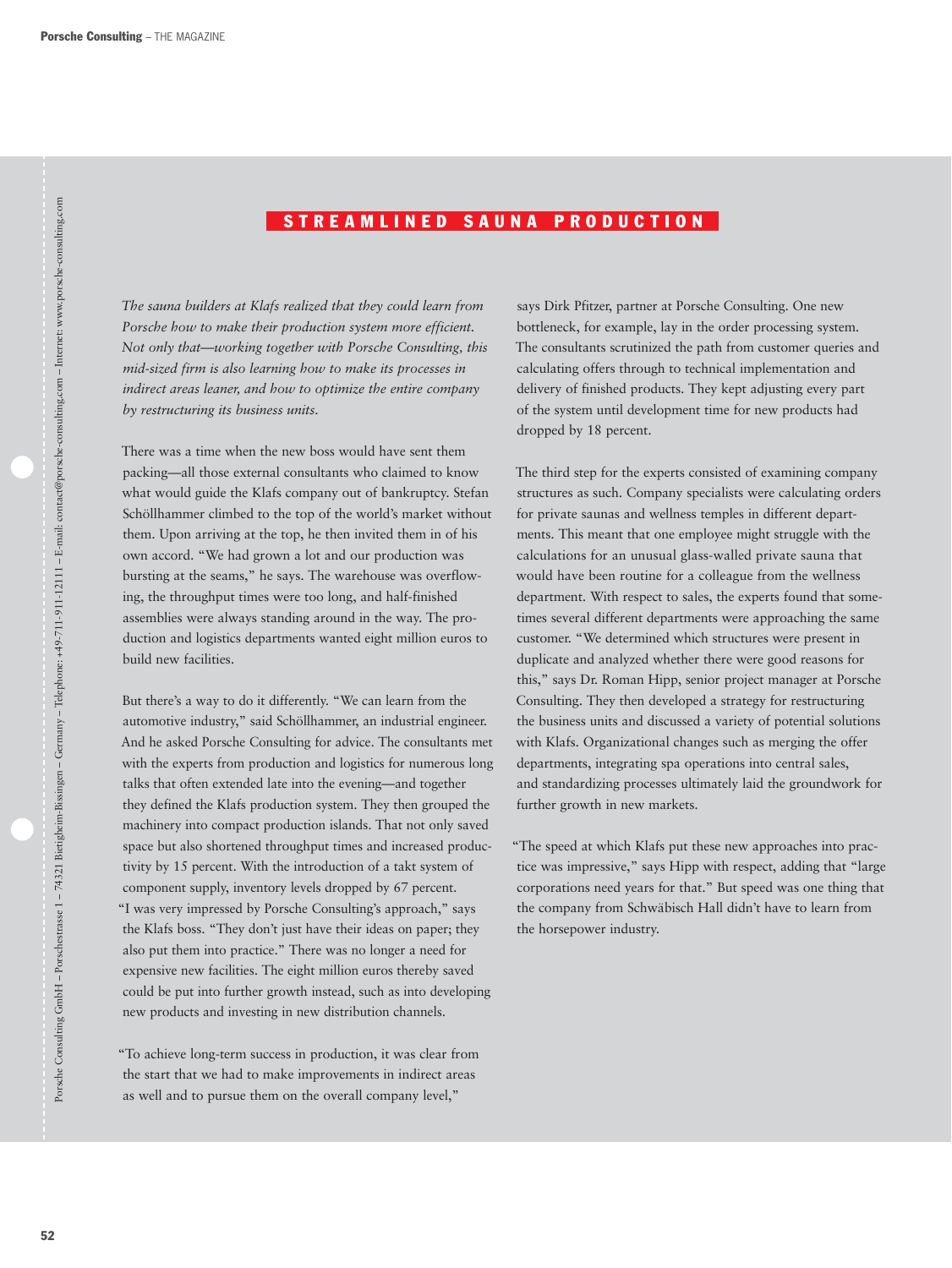## STREAMLINED SAUNA PRODUCTION

*The sauna builders at Klafs realized that they could learn from Porsche how to make their production system more efficient. Not only that—working together with Porsche Consulting, this mid-sized firm is also learning how to make its processes in indirect areas leaner, and how to optimize the entire company by restructuring its business units.*

There was a time when the new boss would have sent them packing—all those external consultants who claimed to know what would guide the Klafs company out of bankruptcy. Stefan Schöllhammer climbed to the top of the world's market without them. Upon arriving at the top, he then invited them in of his own accord. "We had grown a lot and our production was bursting at the seams," he says. The warehouse was overflowing, the throughput times were too long, and half-finished assemblies were always standing around in the way. The production and logistics departments wanted eight million euros to build new facilities.

But there's a way to do it differently. "We can learn from the automotive industry," said Schöllhammer, an industrial engineer. And he asked Porsche Consulting for advice. The consultants met with the experts from production and logistics for numerous long talks that often extended late into the evening—and together they defined the Klafs production system. They then grouped the machinery into compact production islands. That not only saved space but also shortened throughput times and increased productivity by 15 percent. With the introduction of a takt system of component supply, inventory levels dropped by 67 percent. "I was very impressed by Porsche Consulting's approach," says the Klafs boss. "They don't just have their ideas on paper; they also put them into practice." There was no longer a need for expensive new facilities. The eight million euros thereby saved could be put into further growth instead, such as into developing new products and investing in new distribution channels.

"To achieve long-term success in production, it was clear from the start that we had to make improvements in indirect areas as well and to pursue them on the overall company level,"

says Dirk Pfitzer, partner at Porsche Consulting. One new bottleneck, for example, lay in the order processing system. The consultants scrutinized the path from customer queries and calculating offers through to technical implementation and delivery of finished products. They kept adjusting every part of the system until development time for new products had dropped by 18 percent.

The third step for the experts consisted of examining company structures as such. Company specialists were calculating orders for private saunas and wellness temples in different departments. This meant that one employee might struggle with the calculations for an unusual glass-walled private sauna that would have been routine for a colleague from the wellness department. With respect to sales, the experts found that sometimes several different departments were approaching the same customer. "We determined which structures were present in duplicate and analyzed whether there were good reasons for this," says Dr. Roman Hipp, senior project manager at Porsche Consulting. They then developed a strategy for restructuring the business units and discussed a variety of potential solutions with Klafs. Organizational changes such as merging the offer departments, integrating spa operations into central sales, and standardizing processes ultimately laid the groundwork for further growth in new markets.

"The speed at which Klafs put these new approaches into practice was impressive," says Hipp with respect, adding that "large corporations need years for that." But speed was one thing that the company from Schwäbisch Hall didn't have to learn from the horsepower industry.